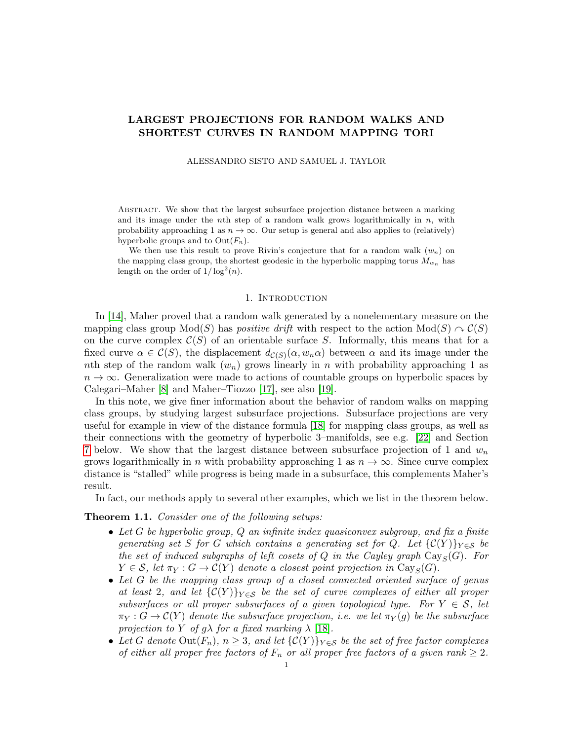# LARGEST PROJECTIONS FOR RANDOM WALKS AND SHORTEST CURVES IN RANDOM MAPPING TORI

ALESSANDRO SISTO AND SAMUEL J. TAYLOR

Abstract. We show that the largest subsurface projection distance between a marking and its image under the nth step of a random walk grows logarithmically in  $n$ , with probability approaching 1 as  $n \to \infty$ . Our setup is general and also applies to (relatively) hyperbolic groups and to  $Out(F_n)$ .

We then use this result to prove Rivin's conjecture that for a random walk  $(w_n)$  on the mapping class group, the shortest geodesic in the hyperbolic mapping torus  $M_{w_n}$  has length on the order of  $1/\log^2(n)$ .

#### 1. INTRODUCTION

In [\[14\]](#page-18-0), Maher proved that a random walk generated by a nonelementary measure on the mapping class group  $Mod(S)$  has *positive drift* with respect to the action  $Mod(S) \cap \mathcal{C}(S)$ on the curve complex  $\mathcal{C}(S)$  of an orientable surface S. Informally, this means that for a fixed curve  $\alpha \in \mathcal{C}(S)$ , the displacement  $d_{\mathcal{C}(S)}(\alpha, w_n \alpha)$  between  $\alpha$  and its image under the nth step of the random walk  $(w_n)$  grows linearly in n with probability approaching 1 as  $n \to \infty$ . Generalization were made to actions of countable groups on hyperbolic spaces by Calegari–Maher [\[8\]](#page-17-0) and Maher–Tiozzo [\[17\]](#page-18-1), see also [\[19\]](#page-18-2).

In this note, we give finer information about the behavior of random walks on mapping class groups, by studying largest subsurface projections. Subsurface projections are very useful for example in view of the distance formula [\[18\]](#page-18-3) for mapping class groups, as well as their connections with the geometry of hyperbolic 3–manifolds, see e.g. [\[22\]](#page-18-4) and Section [7](#page-12-0) below. We show that the largest distance between subsurface projection of 1 and  $w_n$ grows logarithmically in n with probability approaching 1 as  $n \to \infty$ . Since curve complex distance is "stalled" while progress is being made in a subsurface, this complements Maher's result.

In fact, our methods apply to several other examples, which we list in the theorem below.

<span id="page-0-0"></span>Theorem 1.1. Consider one of the following setups:

- Let G be hyperbolic group,  $Q$  an infinite index quasiconvex subgroup, and fix a finite generating set S for G which contains a generating set for Q. Let  ${C(Y)}_{Y\in S}$  be the set of induced subgraphs of left cosets of Q in the Cayley graph  $\text{Cay}_S(G)$ . For  $Y \in \mathcal{S}$ , let  $\pi_Y : G \to C(Y)$  denote a closest point projection in  $\text{Cay}_S(G)$ .
- Let G be the mapping class group of a closed connected oriented surface of genus at least 2, and let  ${C(Y)}_{Y \in S}$  be the set of curve complexes of either all proper subsurfaces or all proper subsurfaces of a given topological type. For  $Y \in S$ , let  $\pi_Y : G \to C(Y)$  denote the subsurface projection, i.e. we let  $\pi_Y(g)$  be the subsurface projection to Y of g $\lambda$  for a fixed marking  $\lambda$  [\[18\]](#page-18-3).
- Let G denote  $\text{Out}(F_n)$ ,  $n \geq 3$ , and let  $\{\mathcal{C}(Y)\}_{Y \in \mathcal{S}}$  be the set of free factor complexes of either all proper free factors of  $F_n$  or all proper free factors of a given rank  $\geq 2$ .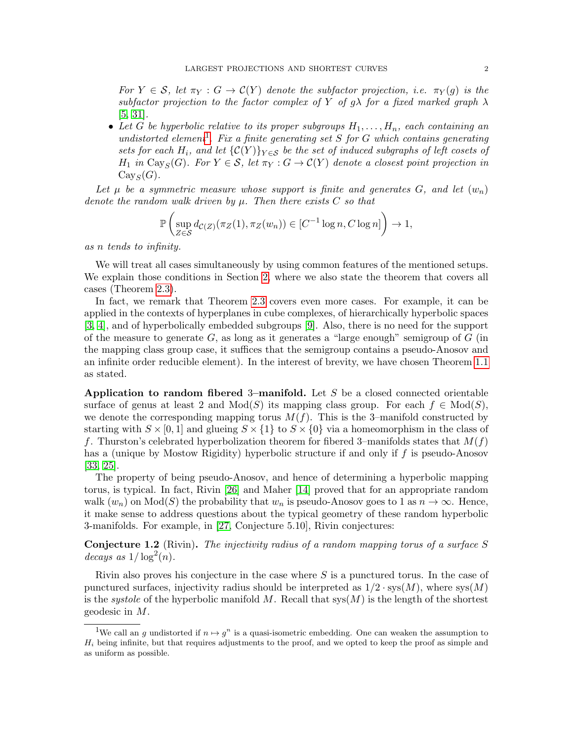For  $Y \in \mathcal{S}$ , let  $\pi_Y : G \to C(Y)$  denote the subfactor projection, i.e.  $\pi_Y(q)$  is the subfactor projection to the factor complex of Y of  $g\lambda$  for a fixed marked graph  $\lambda$ [\[5,](#page-17-1) [31\]](#page-18-5).

• Let G be hyperbolic relative to its proper subgroups  $H_1, \ldots, H_n$ , each containing an undistorted element<sup>[1](#page-1-0)</sup>. Fix a finite generating set S for G which contains generating sets for each  $H_i$ , and let  $\{C(Y)\}_{Y\in\mathcal{S}}$  be the set of induced subgraphs of left cosets of  $H_1$  in  $\text{Cay}_S(G)$ . For  $Y \in \mathcal{S}$ , let  $\pi_Y : G \to C(Y)$  denote a closest point projection in  $\mathrm{Cay}_S(G)$ .

Let  $\mu$  be a symmetric measure whose support is finite and generates G, and let  $(w_n)$ denote the random walk driven by  $\mu$ . Then there exists C so that

$$
\mathbb{P}\left(\sup_{Z\in\mathcal{S}}d_{\mathcal{C}(Z)}(\pi_Z(1),\pi_Z(w_n))\in [C^{-1}\log n, C\log n]\right)\to 1,
$$

as n tends to infinity.

We will treat all cases simultaneously by using common features of the mentioned setups. We explain those conditions in Section [2,](#page-2-0) where we also state the theorem that covers all cases (Theorem [2.3\)](#page-3-0).

In fact, we remark that Theorem [2.3](#page-3-0) covers even more cases. For example, it can be applied in the contexts of hyperplanes in cube complexes, of hierarchically hyperbolic spaces [\[3,](#page-17-2) [4\]](#page-17-3), and of hyperbolically embedded subgroups [\[9\]](#page-18-6). Also, there is no need for the support of the measure to generate  $G$ , as long as it generates a "large enough" semigroup of  $G$  (in the mapping class group case, it suffices that the semigroup contains a pseudo-Anosov and an infinite order reducible element). In the interest of brevity, we have chosen Theorem [1.1](#page-0-0) as stated.

Application to random fibered 3–manifold. Let  $S$  be a closed connected orientable surface of genus at least 2 and  $Mod(S)$  its mapping class group. For each  $f \in Mod(S)$ , we denote the corresponding mapping torus  $M(f)$ . This is the 3–manifold constructed by starting with  $S \times [0, 1]$  and glueing  $S \times \{1\}$  to  $S \times \{0\}$  via a homeomorphism in the class of f. Thurston's celebrated hyperbolization theorem for fibered 3–manifolds states that  $M(f)$ has a (unique by Mostow Rigidity) hyperbolic structure if and only if f is pseudo-Anosov [\[33,](#page-18-7) [25\]](#page-18-8).

The property of being pseudo-Anosov, and hence of determining a hyperbolic mapping torus, is typical. In fact, Rivin [\[26\]](#page-18-9) and Maher [\[14\]](#page-18-0) proved that for an appropriate random walk  $(w_n)$  on Mod(S) the probability that  $w_n$  is pseudo-Anosov goes to 1 as  $n \to \infty$ . Hence, it make sense to address questions about the typical geometry of these random hyperbolic 3-manifolds. For example, in [\[27,](#page-18-10) Conjecture 5.10], Rivin conjectures:

<span id="page-1-1"></span>Conjecture 1.2 (Rivin). The injectivity radius of a random mapping torus of a surface S decays as  $1/\log^2(n)$ .

Rivin also proves his conjecture in the case where S is a punctured torus. In the case of punctured surfaces, injectivity radius should be interpreted as  $1/2 \cdot sys(M)$ , where  $sys(M)$ is the *systole* of the hyperbolic manifold M. Recall that  $sys(M)$  is the length of the shortest geodesic in M.

<span id="page-1-0"></span><sup>&</sup>lt;sup>1</sup>We call an g undistorted if  $n \mapsto g^n$  is a quasi-isometric embedding. One can weaken the assumption to  $H_i$  being infinite, but that requires adjustments to the proof, and we opted to keep the proof as simple and as uniform as possible.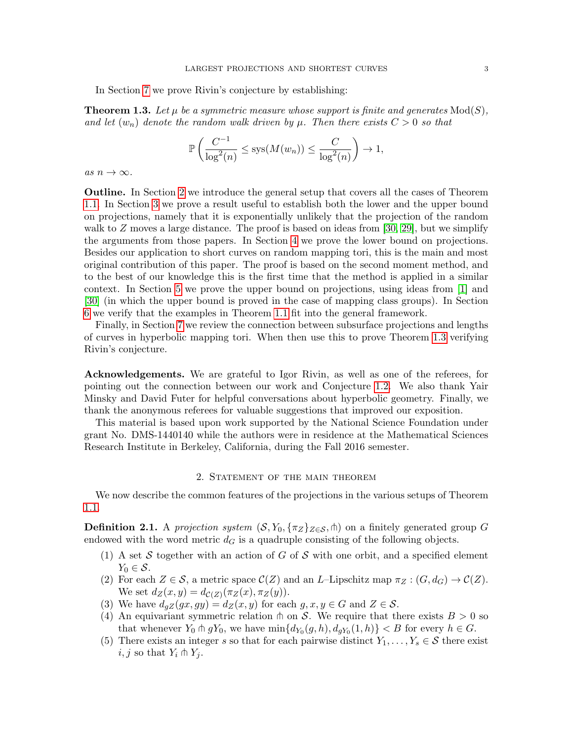In Section [7](#page-12-0) we prove Rivin's conjecture by establishing:

<span id="page-2-1"></span>**Theorem 1.3.** Let  $\mu$  be a symmetric measure whose support is finite and generates  $Mod(S)$ , and let  $(w_n)$  denote the random walk driven by  $\mu$ . Then there exists  $C > 0$  so that

$$
\mathbb{P}\left(\frac{C^{-1}}{\log^2(n)} \leq \text{sys}(M(w_n)) \leq \frac{C}{\log^2(n)}\right) \to 1,
$$

as  $n \to \infty$ .

Outline. In Section [2](#page-2-0) we introduce the general setup that covers all the cases of Theorem [1.1.](#page-0-0) In Section [3](#page-4-0) we prove a result useful to establish both the lower and the upper bound on projections, namely that it is exponentially unlikely that the projection of the random walk to  $Z$  moves a large distance. The proof is based on ideas from [\[30,](#page-18-11) [29\]](#page-18-12), but we simplify the arguments from those papers. In Section [4](#page-5-0) we prove the lower bound on projections. Besides our application to short curves on random mapping tori, this is the main and most original contribution of this paper. The proof is based on the second moment method, and to the best of our knowledge this is the first time that the method is applied in a similar context. In Section [5](#page-8-0) we prove the upper bound on projections, using ideas from [\[1\]](#page-17-4) and [\[30\]](#page-18-11) (in which the upper bound is proved in the case of mapping class groups). In Section [6](#page-10-0) we verify that the examples in Theorem [1.1](#page-0-0) fit into the general framework.

Finally, in Section [7](#page-12-0) we review the connection between subsurface projections and lengths of curves in hyperbolic mapping tori. When then use this to prove Theorem [1.3](#page-2-1) verifying Rivin's conjecture.

Acknowledgements. We are grateful to Igor Rivin, as well as one of the referees, for pointing out the connection between our work and Conjecture [1.2.](#page-1-1) We also thank Yair Minsky and David Futer for helpful conversations about hyperbolic geometry. Finally, we thank the anonymous referees for valuable suggestions that improved our exposition.

This material is based upon work supported by the National Science Foundation under grant No. DMS-1440140 while the authors were in residence at the Mathematical Sciences Research Institute in Berkeley, California, during the Fall 2016 semester.

## 2. STATEMENT OF THE MAIN THEOREM

<span id="page-2-0"></span>We now describe the common features of the projections in the various setups of Theorem [1.1.](#page-0-0)

<span id="page-2-3"></span>**Definition 2.1.** A projection system  $(S, Y_0, \{\pi_Z\}_{Z \in S}, \text{th})$  on a finitely generated group G endowed with the word metric  $d_G$  is a quadruple consisting of the following objects.

- (1) A set S together with an action of G of S with one orbit, and a specified element  $Y_0 \in \mathcal{S}$ .
- (2) For each  $Z \in \mathcal{S}$ , a metric space  $\mathcal{C}(Z)$  and an L–Lipschitz map  $\pi_Z : (G, d_G) \to \mathcal{C}(Z)$ . We set  $d_Z(x, y) = d_{\mathcal{C}(Z)}(\pi_Z(x), \pi_Z(y)).$
- (3) We have  $d_{qZ}(gx, gy) = d_Z(x, y)$  for each  $g, x, y \in G$  and  $Z \in \mathcal{S}$ .
- <span id="page-2-2"></span>(4) An equivariant symmetric relation  $\phi$  on S. We require that there exists  $B > 0$  so that whenever  $Y_0 \pitchfork gY_0$ , we have  $\min\{d_{Y_0}(g, h), d_{gY_0}(1, h)\} < B$  for every  $h \in G$ .
- (5) There exists an integer s so that for each pairwise distinct  $Y_1, \ldots, Y_s \in \mathcal{S}$  there exist  $i, j$  so that  $Y_i \pitchfork Y_j$ .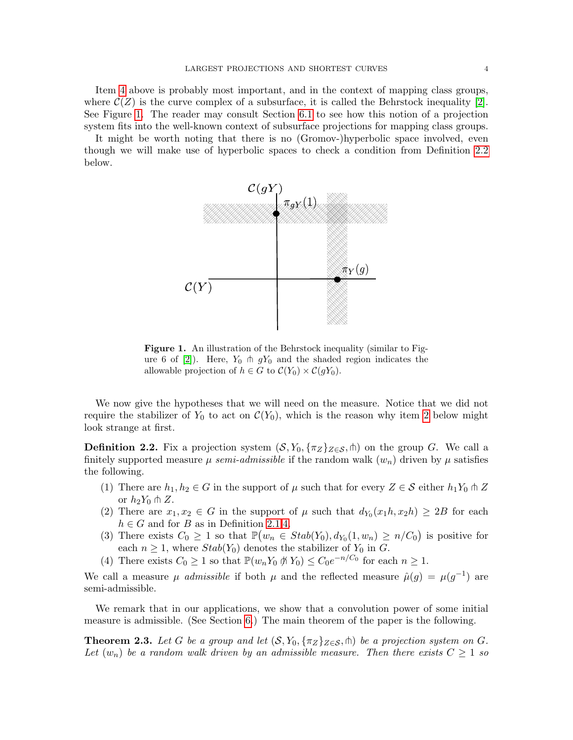Item [4](#page-2-2) above is probably most important, and in the context of mapping class groups, where  $\mathcal{C}(Z)$  is the curve complex of a subsurface, it is called the Behrstock inequality [\[2\]](#page-17-5). See Figure [1.](#page-3-1) The reader may consult Section [6.1](#page-10-1) to see how this notion of a projection system fits into the well-known context of subsurface projections for mapping class groups.

<span id="page-3-1"></span>It might be worth noting that there is no (Gromov-)hyperbolic space involved, even though we will make use of hyperbolic spaces to check a condition from Definition [2.2](#page-3-2) below.



Figure 1. An illustration of the Behrstock inequality (similar to Fig-ure 6 of [\[2\]](#page-17-5)). Here,  $Y_0 \uparrow gY_0$  and the shaded region indicates the allowable projection of  $h \in G$  to  $\mathcal{C}(Y_0) \times \mathcal{C}(qY_0)$ .

We now give the hypotheses that we will need on the measure. Notice that we did not require the stabilizer of  $Y_0$  to act on  $\mathcal{C}(Y_0)$ , which is the reason why item [2](#page-3-3) below might look strange at first.

<span id="page-3-2"></span>**Definition 2.2.** Fix a projection system  $(S, Y_0, \{\pi_Z\}_{Z \in S}, \text{th})$  on the group G. We call a finitely supported measure  $\mu$  semi-admissible if the random walk  $(w_n)$  driven by  $\mu$  satisfies the following.

- <span id="page-3-4"></span>(1) There are  $h_1, h_2 \in G$  in the support of  $\mu$  such that for every  $Z \in \mathcal{S}$  either  $h_1 Y_0 \oplus Z$ or  $h_2Y_0 \pitchfork Z$ .
- <span id="page-3-3"></span>(2) There are  $x_1, x_2 \in G$  in the support of  $\mu$  such that  $d_{Y_0}(x_1h, x_2h) \geq 2B$  for each  $h \in G$  and for B as in Definition [2.1](#page-2-3)[.4.](#page-2-2)
- <span id="page-3-5"></span>(3) There exists  $C_0 \geq 1$  so that  $\mathbb{P}(w_n \in Stab(Y_0), d_{Y_0}(1, w_n) \geq n/C_0)$  is positive for each  $n \geq 1$ , where  $Stab(Y_0)$  denotes the stabilizer of  $Y_0$  in G.
- <span id="page-3-6"></span>(4) There exists  $C_0 \geq 1$  so that  $\mathbb{P}(w_n Y_0 \not\uparrow Y_0) \leq C_0 e^{-n/C_0}$  for each  $n \geq 1$ .

We call a measure  $\mu$  admissible if both  $\mu$  and the reflected measure  $\hat{\mu}(g) = \mu(g^{-1})$  are semi-admissible.

We remark that in our applications, we show that a convolution power of some initial measure is admissible. (See Section [6.](#page-10-0)) The main theorem of the paper is the following.

<span id="page-3-0"></span>**Theorem 2.3.** Let G be a group and let  $(S, Y_0, \{\pi_Z\}_{Z \in S}, \text{th})$  be a projection system on G. Let  $(w_n)$  be a random walk driven by an admissible measure. Then there exists  $C \geq 1$  so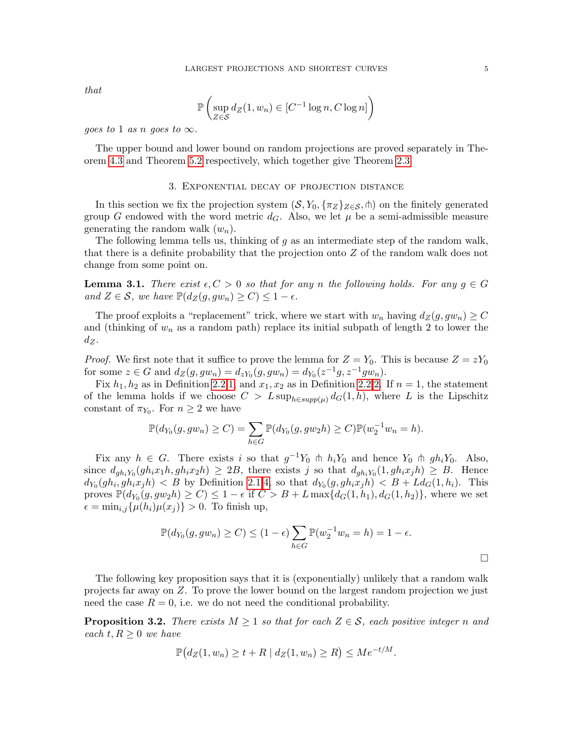that

$$
\mathbb{P}\left(\sup_{Z\in\mathcal{S}} d_Z(1, w_n) \in [C^{-1}\log n, C\log n]\right)
$$

qoes to 1 as n qoes to  $\infty$ .

The upper bound and lower bound on random projections are proved separately in Theorem [4.3](#page-8-1) and Theorem [5.2](#page-9-0) respectively, which together give Theorem [2.3.](#page-3-0)

### 3. Exponential decay of projection distance

<span id="page-4-0"></span>In this section we fix the projection system  $(S, Y_0, \{\pi_Z\}_{Z\in\mathcal{S}}, \pitchfork)$  on the finitely generated group G endowed with the word metric  $d_G$ . Also, we let  $\mu$  be a semi-admissible measure generating the random walk  $(w_n)$ .

The following lemma tells us, thinking of  $q$  as an intermediate step of the random walk, that there is a definite probability that the projection onto Z of the random walk does not change from some point on.

<span id="page-4-1"></span>**Lemma 3.1.** There exist  $\epsilon, C > 0$  so that for any n the following holds. For any  $q \in G$ and  $Z \in \mathcal{S}$ , we have  $\mathbb{P}(d_Z(g, gw_n) \geq C) \leq 1 - \epsilon$ .

The proof exploits a "replacement" trick, where we start with  $w_n$  having  $d_Z(g, gw_n) \geq C$ and (thinking of  $w_n$  as a random path) replace its initial subpath of length 2 to lower the  $d_Z$ .

*Proof.* We first note that it suffice to prove the lemma for  $Z = Y_0$ . This is because  $Z = zY_0$ for some  $z \in G$  and  $d_Z(g, gw_n) = d_{zY_0}(g, gw_n) = d_{Y_0}(z^{-1}g, z^{-1}gw_n)$ .

Fix  $h_1, h_2$  as in Definition [2.2](#page-3-2)[.1,](#page-3-4) and  $x_1, x_2$  as in Definition [2.2.](#page-3-2)[2.](#page-3-3) If  $n = 1$ , the statement of the lemma holds if we choose  $C > L \sup_{h \in sum(u)} d_G(1, h)$ , where L is the Lipschitz constant of  $\pi_{Y_0}$ . For  $n \geq 2$  we have

$$
\mathbb{P}(d_{Y_0}(g,gw_n)\geq C)=\sum_{h\in G}\mathbb{P}(d_{Y_0}(g,gw_2h)\geq C)\mathbb{P}(w_2^{-1}w_n=h).
$$

Fix any  $h \in G$ . There exists i so that  $g^{-1}Y_0 \uparrow h h_iY_0$  and hence  $Y_0 \uparrow h g h_iY_0$ . Also, since  $d_{gh_iY_0}(gh_ix_1h, gh_ix_2h) \ge 2B$ , there exists j so that  $d_{gh_iY_0}(1, gh_ix_jh) \ge B$ . Hence  $d_{Y_0}(gh_i, gh_ix_jh) < B$  by Definition [2.1.](#page-2-3)[4,](#page-2-2) so that  $d_{Y_0}(g, gh_ix_jh) < B + Ld_G(1, h_i)$ . This proves  $\mathbb{P}(d_{Y_0}(g, g w_2 h) \ge C) \le 1 - \epsilon$  if  $C > B + L \max\{d_G(1, h_1), d_G(1, h_2)\}\)$ , where we set  $\epsilon = \min_{i,j} {\{\mu(h_i) \mu(x_j)\}} > 0$ . To finish up,

$$
\mathbb{P}(d_{Y_0}(g,gw_n)\geq C)\leq (1-\epsilon)\sum_{h\in G}\mathbb{P}(w_2^{-1}w_n=h)=1-\epsilon.
$$

The following key proposition says that it is (exponentially) unlikely that a random walk projects far away on Z. To prove the lower bound on the largest random projection we just need the case  $R = 0$ , i.e. we do not need the conditional probability.

<span id="page-4-2"></span>**Proposition 3.2.** There exists  $M \geq 1$  so that for each  $Z \in \mathcal{S}$ , each positive integer n and each  $t, R \geq 0$  we have

$$
\mathbb{P}\big(d_Z(1,w_n)\geq t+R\mid d_Z(1,w_n)\geq R\big)\leq Me^{-t/M}.
$$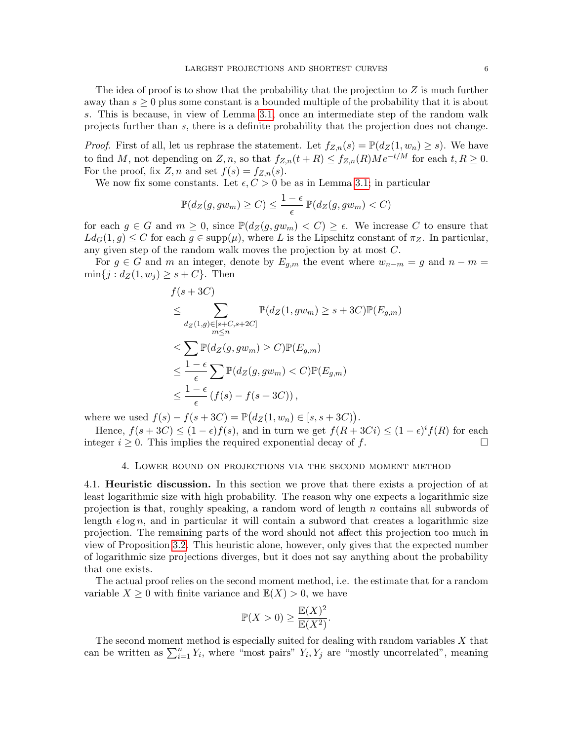The idea of proof is to show that the probability that the projection to  $Z$  is much further away than  $s \geq 0$  plus some constant is a bounded multiple of the probability that it is about s. This is because, in view of Lemma [3.1,](#page-4-1) once an intermediate step of the random walk projects further than s, there is a definite probability that the projection does not change.

*Proof.* First of all, let us rephrase the statement. Let  $f_{Z,n}(s) = \mathbb{P}(d_Z(1, w_n) \geq s)$ . We have to find M, not depending on Z, n, so that  $f_{Z,n}(t+R) \leq f_{Z,n}(R)Me^{-t/M}$  for each  $t, R \geq 0$ . For the proof, fix Z, n and set  $f(s) = f_{Z,n}(s)$ .

We now fix some constants. Let  $\epsilon, C > 0$  be as in Lemma [3.1;](#page-4-1) in particular

$$
\mathbb{P}(d_Z(g,gw_m)\geq C)\leq \frac{1-\epsilon}{\epsilon}\mathbb{P}(d_Z(g,gw_m)
$$

for each  $g \in G$  and  $m \geq 0$ , since  $\mathbb{P}(d_Z(g, gw_m) < C) \geq \epsilon$ . We increase C to ensure that  $L d_G(1,g) \leq C$  for each  $g \in \text{supp}(\mu)$ , where L is the Lipschitz constant of  $\pi_Z$ . In particular, any given step of the random walk moves the projection by at most C.

For  $g \in G$  and m an integer, denote by  $E_{g,m}$  the event where  $w_{n-m} = g$  and  $n-m = g$  $\min\{j : d_Z(1, w_j) \geq s + C\}.$  Then

$$
f(s + 3C)
$$
  
\n
$$
\leq \sum_{d_Z(1,g) \in [s+C, s+2C]} \mathbb{P}(d_Z(1, gw_m) \geq s + 3C) \mathbb{P}(E_{g,m})
$$
  
\n
$$
\leq \sum_{\epsilon} \mathbb{P}(d_Z(g, gw_m) \geq C) \mathbb{P}(E_{g,m})
$$
  
\n
$$
\leq \frac{1 - \epsilon}{\epsilon} \sum_{\epsilon} \mathbb{P}(d_Z(g, gw_m) < C) \mathbb{P}(E_{g,m})
$$
  
\n
$$
\leq \frac{1 - \epsilon}{\epsilon} (f(s) - f(s + 3C)),
$$

where we used  $f(s) - f(s + 3C) = \mathbb{P}(d_Z(1, w_n) \in [s, s + 3C)).$ 

Hence,  $f(s+3C) \leq (1-\epsilon)f(s)$ , and in turn we get  $f(R+3Ci) \leq (1-\epsilon)^{i}f(R)$  for each integer  $i \geq 0$ . This implies the required exponential decay of f.

### 4. Lower bound on projections via the second moment method

<span id="page-5-0"></span>4.1. Heuristic discussion. In this section we prove that there exists a projection of at least logarithmic size with high probability. The reason why one expects a logarithmic size projection is that, roughly speaking, a random word of length n contains all subwords of length  $\epsilon \log n$ , and in particular it will contain a subword that creates a logarithmic size projection. The remaining parts of the word should not affect this projection too much in view of Proposition [3.2.](#page-4-2) This heuristic alone, however, only gives that the expected number of logarithmic size projections diverges, but it does not say anything about the probability that one exists.

The actual proof relies on the second moment method, i.e. the estimate that for a random variable  $X \geq 0$  with finite variance and  $\mathbb{E}(X) > 0$ , we have

$$
\mathbb{P}(X > 0) \ge \frac{\mathbb{E}(X)^2}{\mathbb{E}(X^2)}.
$$

The second moment method is especially suited for dealing with random variables X that can be written as  $\sum_{i=1}^{n} Y_i$ , where "most pairs"  $Y_i, Y_j$  are "mostly uncorrelated", meaning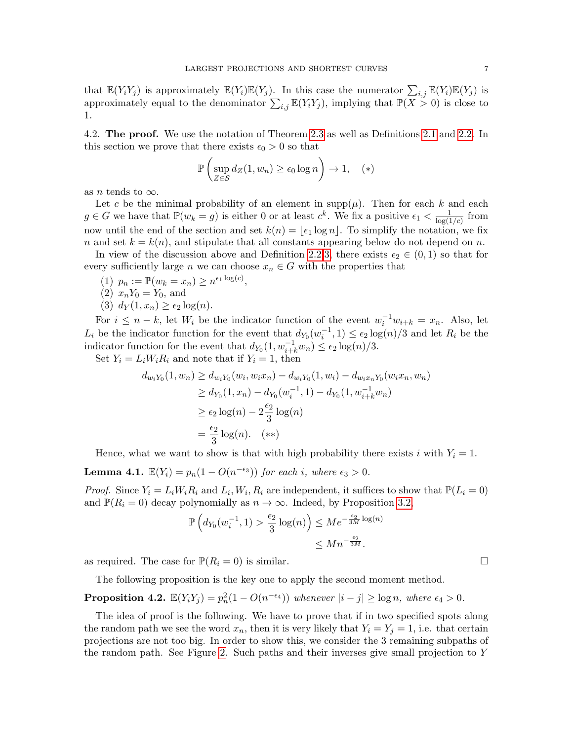that  $\mathbb{E}(Y_i Y_j)$  is approximately  $\mathbb{E}(Y_i)\mathbb{E}(Y_j)$ . In this case the numerator  $\sum_{i,j} \mathbb{E}(Y_i)\mathbb{E}(Y_j)$  is approximately equal to the denominator  $\sum_{i,j} \mathbb{E}(Y_i Y_j)$ , implying that  $\mathbb{P}(X > 0)$  is close to 1.

<span id="page-6-2"></span>4.2. The proof. We use the notation of Theorem [2.3](#page-3-0) as well as Definitions [2.1](#page-2-3) and [2.2.](#page-3-2) In this section we prove that there exists  $\epsilon_0 > 0$  so that

$$
\mathbb{P}\left(\sup_{Z\in\mathcal{S}} d_Z(1, w_n) \ge \epsilon_0 \log n\right) \to 1, \quad (*)
$$

as *n* tends to  $\infty$ .

Let c be the minimal probability of an element in  $supp(\mu)$ . Then for each k and each  $g \in G$  we have that  $\mathbb{P}(w_k = g)$  is either 0 or at least  $c^k$ . We fix a positive  $\epsilon_1 < \frac{1}{\log(1)}$  $\frac{1}{\log(1/c)}$  from now until the end of the section and set  $k(n) = \lfloor \epsilon_1 \log n \rfloor$ . To simplify the notation, we fix n and set  $k = k(n)$ , and stipulate that all constants appearing below do not depend on n.

In view of the discussion above and Definition [2.2.](#page-3-2)[3,](#page-3-5) there exists  $\epsilon_2 \in (0,1)$  so that for every sufficiently large n we can choose  $x_n \in G$  with the properties that

- (1)  $p_n := \mathbb{P}(w_k = x_n) \geq n^{\epsilon_1 \log(c)},$
- (2)  $x_nY_0 = Y_0$ , and
- (3)  $d_Y(1, x_n) \geq \epsilon_2 \log(n)$ .

For  $i \leq n - k$ , let  $W_i$  be the indicator function of the event  $w_i^{-1}w_{i+k} = x_n$ . Also, let  $L_i$  be the indicator function for the event that  $d_{Y_0}(w_i^{-1}, 1) \leq \epsilon_2 \log(n)/3$  and let  $R_i$  be the indicator function for the event that  $d_{Y_0}(1, w_{i+k}^{-1}w_n) \leq \epsilon_2 \log(n)/3$ .

Set  $Y_i = L_i W_i R_i$  and note that if  $Y_i = 1$ , then

$$
d_{w_i Y_0}(1, w_n) \ge d_{w_i Y_0}(w_i, w_i x_n) - d_{w_i Y_0}(1, w_i) - d_{w_i x_n Y_0}(w_i x_n, w_n)
$$
  
\n
$$
\ge d_{Y_0}(1, x_n) - d_{Y_0}(w_i^{-1}, 1) - d_{Y_0}(1, w_{i+k}^{-1} w_n)
$$
  
\n
$$
\ge \epsilon_2 \log(n) - 2\frac{\epsilon_2}{3} \log(n)
$$
  
\n
$$
= \frac{\epsilon_2}{3} \log(n). \quad (**)
$$

Hence, what we want to show is that with high probability there exists i with  $Y_i = 1$ .

<span id="page-6-0"></span>**Lemma 4.1.**  $\mathbb{E}(Y_i) = p_n(1 - O(n^{-\epsilon_3}))$  for each i, where  $\epsilon_3 > 0$ .

*Proof.* Since  $Y_i = L_i W_i R_i$  and  $L_i, W_i, R_i$  are independent, it suffices to show that  $\mathbb{P}(L_i = 0)$ and  $\mathbb{P}(R_i = 0)$  decay polynomially as  $n \to \infty$ . Indeed, by Proposition [3.2,](#page-4-2)

$$
\mathbb{P}\left(d_{Y_0}(w_i^{-1}, 1) > \frac{\epsilon_2}{3}\log(n)\right) \leq Me^{-\frac{\epsilon_2}{3M}\log(n)} \leq Mn^{-\frac{\epsilon_2}{3M}}.
$$

as required. The case for  $\mathbb{P}(R_i = 0)$  is similar.

The following proposition is the key one to apply the second moment method.

<span id="page-6-1"></span>**Proposition 4.2.**  $\mathbb{E}(Y_i Y_j) = p_n^2 (1 - O(n^{-\epsilon_4}))$  whenever  $|i - j| \ge \log n$ , where  $\epsilon_4 > 0$ .

The idea of proof is the following. We have to prove that if in two specified spots along the random path we see the word  $x_n$ , then it is very likely that  $Y_i = Y_j = 1$ , i.e. that certain projections are not too big. In order to show this, we consider the 3 remaining subpaths of the random path. See Figure [2.](#page-7-0) Such paths and their inverses give small projection to Y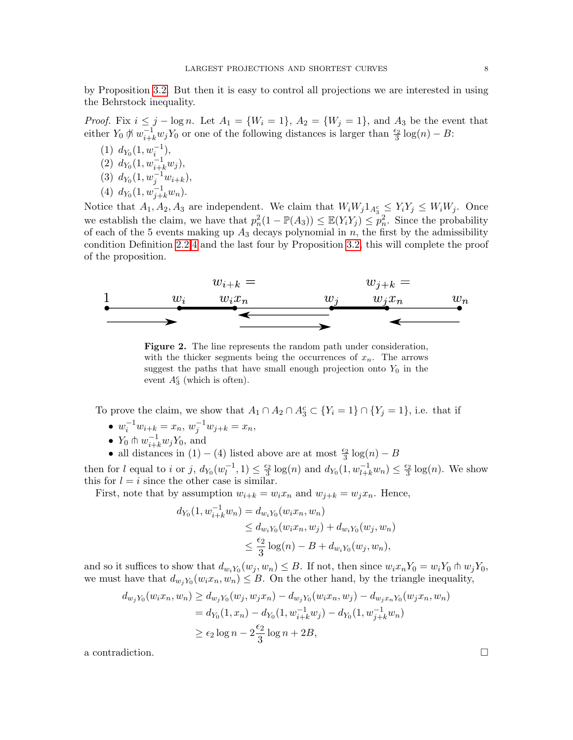by Proposition [3.2.](#page-4-2) But then it is easy to control all projections we are interested in using the Behrstock inequality.

*Proof.* Fix  $i \leq j - \log n$ . Let  $A_1 = \{W_i = 1\}$ ,  $A_2 = \{W_j = 1\}$ , and  $A_3$  be the event that either  $Y_0 \nparallel w_{i+k}^{-1} w_j Y_0$  or one of the following distances is larger than  $\frac{\epsilon_2}{3} \log(n) - B$ :

(1)  $d_{Y_0}(1, w_i^{-1}),$ (2)  $d_{Y_0}(1, w_{i+k}^{-1}w_j),$ (3)  $d_{Y_0}(1, w_j^{-1}w_{i+k}),$ (4)  $d_{Y_0}(1, w_{j+k}^{-1}w_n)$ .

Notice that  $A_1, A_2, A_3$  are independent. We claim that  $W_i W_j 1_{A_3^c} \leq Y_i Y_j \leq W_i W_j$ . Once we establish the claim, we have that  $p_n^2(1 - \mathbb{P}(A_3)) \leq \mathbb{E}(Y_i Y_j) \leq p_n^2$ . Since the probability of each of the 5 events making up  $A_3$  decays polynomial in n, the first by the admissibility condition Definition [2.2](#page-3-2)[.4](#page-3-6) and the last four by Proposition [3.2,](#page-4-2) this will complete the proof of the proposition.

<span id="page-7-0"></span>

Figure 2. The line represents the random path under consideration, with the thicker segments being the occurrences of  $x_n$ . The arrows suggest the paths that have small enough projection onto  $Y_0$  in the event  $A_3^c$  (which is often).

To prove the claim, we show that  $A_1 \cap A_2 \cap A_3^c \subset \{Y_i = 1\} \cap \{Y_j = 1\}$ , i.e. that if

- $w_i^{-1}w_{i+k} = x_n, w_j^{-1}w_{j+k} = x_n,$
- $Y_0 \pitchfork w_{i+k}^{-1} w_j Y_0$ , and
- all distances in (1) (4) listed above are at most  $\frac{\epsilon_2}{3} \log(n) B$

then for l equal to i or j,  $d_{Y_0}(w_l^{-1})$  $\binom{-1}{l}, 1 \leq \frac{\epsilon_2}{3} \log(n)$  and  $d_{Y_0}(1, w_{l+k}^{-1} w_n) \leq \frac{\epsilon_2}{3} \log(n)$ . We show this for  $l = i$  since the other case is similar.

First, note that by assumption  $w_{i+k} = w_i x_n$  and  $w_{i+k} = w_j x_n$ . Hence,

$$
d_{Y_0}(1, w_{i+k}^{-1} w_n) = d_{w_i Y_0}(w_i x_n, w_n)
$$
  
\n
$$
\leq d_{w_i Y_0}(w_i x_n, w_j) + d_{w_i Y_0}(w_j, w_n)
$$
  
\n
$$
\leq \frac{\epsilon_2}{3} \log(n) - B + d_{w_i Y_0}(w_j, w_n),
$$

and so it suffices to show that  $d_{w_i Y_0}(w_j, w_n) \leq B$ . If not, then since  $w_i x_n Y_0 = w_i Y_0 \oplus w_j Y_0$ , we must have that  $d_{w_j Y_0}(w_i x_n, w_n) \leq B$ . On the other hand, by the triangle inequality,

$$
d_{w_j Y_0}(w_i x_n, w_n) \ge d_{w_j Y_0}(w_j, w_j x_n) - d_{w_j Y_0}(w_i x_n, w_j) - d_{w_j x_n Y_0}(w_j x_n, w_n)
$$
  
=  $d_{Y_0}(1, x_n) - d_{Y_0}(1, w_{i+k}^{-1} w_j) - d_{Y_0}(1, w_{j+k}^{-1} w_n)$   
 $\ge \epsilon_2 \log n - 2\frac{\epsilon_2}{3} \log n + 2B,$ 

a contradiction.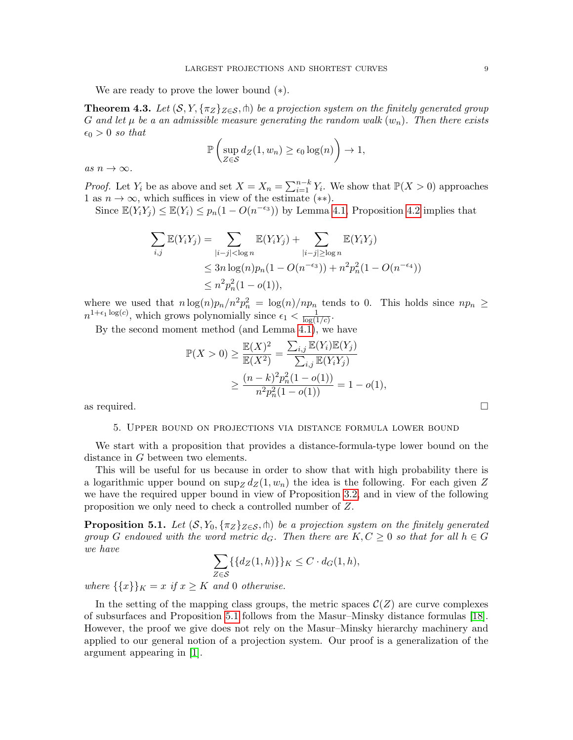We are ready to prove the lower bound (∗).

<span id="page-8-1"></span>**Theorem 4.3.** Let  $(S, Y, \{\pi_Z\}_{Z \in S}, \text{th})$  be a projection system on the finitely generated group G and let  $\mu$  be a an admissible measure generating the random walk  $(w_n)$ . Then there exists  $\epsilon_0 > 0$  so that

$$
\mathbb{P}\left(\sup_{Z\in\mathcal{S}} d_Z(1,w_n)\geq \epsilon_0\log(n)\right)\to 1,
$$

as  $n \to \infty$ .

*Proof.* Let  $Y_i$  be as above and set  $X = X_n = \sum_{i=1}^{n-k} Y_i$ . We show that  $\mathbb{P}(X > 0)$  approaches 1 as  $n \to \infty$ , which suffices in view of the estimate (\*\*).

Since  $\mathbb{E}(Y_i Y_j) \leq \mathbb{E}(Y_i) \leq p_n(1 - O(n^{-\epsilon_3}))$  by Lemma [4.1,](#page-6-0) Proposition [4.2](#page-6-1) implies that

$$
\sum_{i,j} \mathbb{E}(Y_i Y_j) = \sum_{|i-j| < \log n} \mathbb{E}(Y_i Y_j) + \sum_{|i-j| \ge \log n} \mathbb{E}(Y_i Y_j)
$$
\n
$$
\le 3n \log(n) p_n (1 - O(n^{-\epsilon_3})) + n^2 p_n^2 (1 - O(n^{-\epsilon_4}))
$$
\n
$$
\le n^2 p_n^2 (1 - o(1)),
$$

where we used that  $n \log(n) p_n / n^2 p_n^2 = \log(n) / np_n$  tends to 0. This holds since  $np_n \ge$  $n^{1+\epsilon_1 \log(c)}$ , which grows polynomially since  $\epsilon_1 < \frac{1}{\log(1)}$  $\frac{1}{\log(1/c)}$ .

By the second moment method (and Lemma [4.1\)](#page-6-0), we have

$$
\mathbb{P}(X > 0) \ge \frac{\mathbb{E}(X)^2}{\mathbb{E}(X^2)} = \frac{\sum_{i,j} \mathbb{E}(Y_i)\mathbb{E}(Y_j)}{\sum_{i,j} \mathbb{E}(Y_iY_j)} \n\ge \frac{(n-k)^2 p_n^2 (1 - o(1))}{n^2 p_n^2 (1 - o(1))} = 1 - o(1),
$$

<span id="page-8-0"></span>as required.  $\square$ 

#### 5. Upper bound on projections via distance formula lower bound

We start with a proposition that provides a distance-formula-type lower bound on the distance in G between two elements.

This will be useful for us because in order to show that with high probability there is a logarithmic upper bound on  $\sup_{Z} d_Z(1, w_n)$  the idea is the following. For each given Z we have the required upper bound in view of Proposition [3.2,](#page-4-2) and in view of the following proposition we only need to check a controlled number of Z.

<span id="page-8-2"></span>**Proposition 5.1.** Let  $(S, Y_0, \{\pi_Z\}_{Z \in S}, \text{h})$  be a projection system on the finitely generated group G endowed with the word metric  $d_G$ . Then there are  $K, C \geq 0$  so that for all  $h \in G$ we have

$$
\sum_{Z \in \mathcal{S}} \{ \{ d_Z(1,h) \} \}_K \le C \cdot d_G(1,h),
$$

where  $\{\{x\}\}_K = x$  if  $x \geq K$  and 0 otherwise.

In the setting of the mapping class groups, the metric spaces  $\mathcal{C}(Z)$  are curve complexes of subsurfaces and Proposition [5.1](#page-8-2) follows from the Masur–Minsky distance formulas [\[18\]](#page-18-3). However, the proof we give does not rely on the Masur–Minsky hierarchy machinery and applied to our general notion of a projection system. Our proof is a generalization of the argument appearing in [\[1\]](#page-17-4).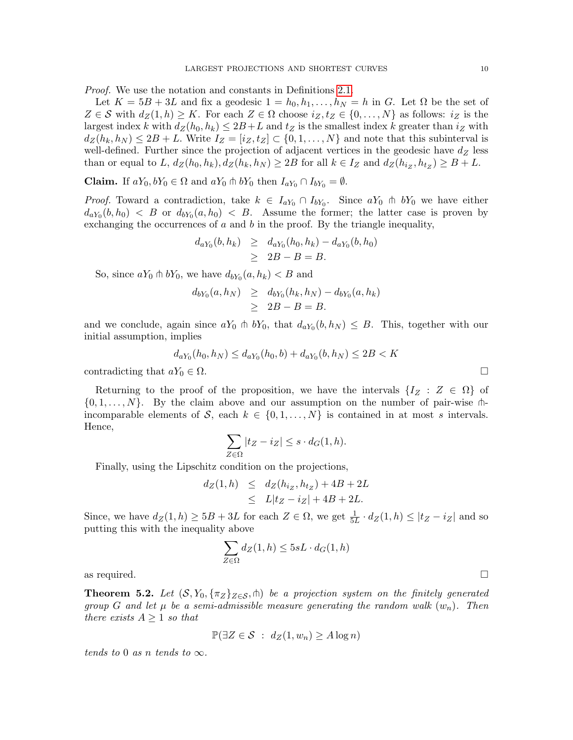Proof. We use the notation and constants in Definitions [2.1.](#page-2-3)

Let  $K = 5B + 3L$  and fix a geodesic  $1 = h_0, h_1, \ldots, h_N = h$  in G. Let  $\Omega$  be the set of  $Z \in \mathcal{S}$  with  $d_Z(1, h) \geq K$ . For each  $Z \in \Omega$  choose  $i_Z, t_Z \in \{0, \ldots, N\}$  as follows:  $i_Z$  is the largest index k with  $d_Z(h_0, h_k) \leq 2B + L$  and  $t_Z$  is the smallest index k greater than  $i_Z$  with  $d_Z(h_k, h_N) \leq 2B + L$ . Write  $I_Z = [i_Z, t_Z] \subset \{0, 1, \ldots, N\}$  and note that this subinterval is well-defined. Further since the projection of adjacent vertices in the geodesic have  $d_Z$  less than or equal to L,  $d_Z(h_0, h_k)$ ,  $d_Z(h_k, h_N) \ge 2B$  for all  $k \in I_Z$  and  $d_Z(h_{i_Z}, h_{i_Z}) \ge B + L$ .

**Claim.** If  $aY_0, bY_0 \in \Omega$  and  $aY_0 \pitchfork bY_0$  then  $I_{aY_0} \cap I_{bY_0} = \emptyset$ .

*Proof.* Toward a contradiction, take  $k \in I_{aY_0} \cap I_{bY_0}$ . Since  $aY_0 \pitchfork bY_0$  we have either  $d_{aY_0}(b, h_0) < B$  or  $d_{bY_0}(a, h_0) < B$ . Assume the former; the latter case is proven by exchanging the occurrences of  $a$  and  $b$  in the proof. By the triangle inequality,

$$
d_{aY_0}(b, h_k) \geq d_{aY_0}(h_0, h_k) - d_{aY_0}(b, h_0) \geq 2B - B = B.
$$

So, since  $aY_0 \pitchfork bY_0$ , we have  $d_{bY_0}(a, h_k) < B$  and

$$
d_{bY_0}(a, h_N) \geq d_{bY_0}(h_k, h_N) - d_{bY_0}(a, h_k) \geq 2B - B = B.
$$

and we conclude, again since  $aY_0 \pitchfork bY_0$ , that  $d_{aY_0}(b, h_N) \leq B$ . This, together with our initial assumption, implies

$$
d_{aY_0}(h_0, h_N) \le d_{aY_0}(h_0, b) + d_{aY_0}(b, h_N) \le 2B < K
$$

contradicting that  $aY_0 \in \Omega$ .

Returning to the proof of the proposition, we have the intervals  $\{I_Z : Z \in \Omega\}$  of  $\{0, 1, \ldots, N\}$ . By the claim above and our assumption on the number of pair-wise thincomparable elements of S, each  $k \in \{0, 1, \ldots, N\}$  is contained in at most s intervals. Hence,

$$
\sum_{Z \in \Omega} |t_Z - i_Z| \le s \cdot d_G(1, h).
$$

Finally, using the Lipschitz condition on the projections,

$$
d_Z(1,h) \leq d_Z(h_{i_Z}, h_{t_Z}) + 4B + 2L
$$
  

$$
\leq L|t_Z - i_Z| + 4B + 2L.
$$

Since, we have  $d_Z(1,h) \geq 5B + 3L$  for each  $Z \in \Omega$ , we get  $\frac{1}{5L} \cdot d_Z(1,h) \leq |t_Z - i_Z|$  and so putting this with the inequality above

$$
\sum_{Z \in \Omega} d_Z(1, h) \le 5sL \cdot d_G(1, h)
$$

as required.  $\Box$ 

<span id="page-9-0"></span>**Theorem 5.2.** Let  $(S, Y_0, \{\pi_Z\}_{Z \in S}, \text{th})$  be a projection system on the finitely generated group G and let  $\mu$  be a semi-admissible measure generating the random walk  $(w_n)$ . Then there exists  $A \geq 1$  so that

$$
\mathbb{P}(\exists Z \in \mathcal{S} : d_Z(1, w_n) \ge A \log n)
$$

tends to 0 as n tends to  $\infty$ .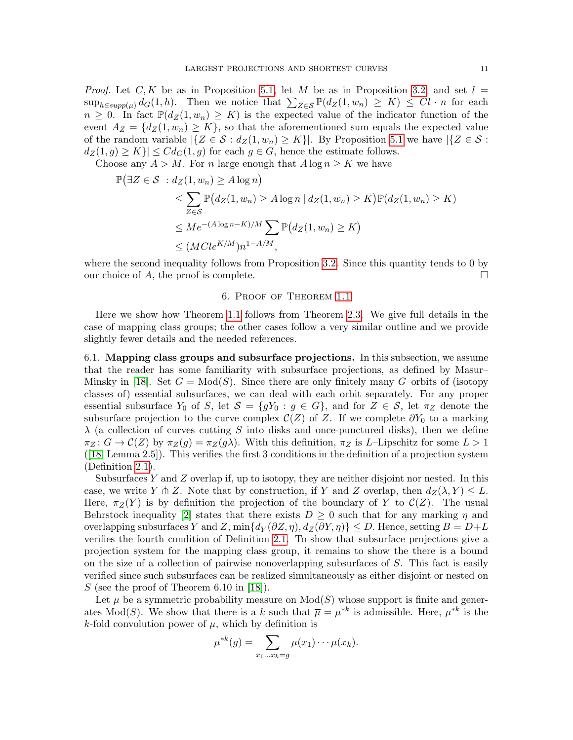*Proof.* Let C, K be as in Proposition [5.1,](#page-8-2) let M be as in Proposition [3.2,](#page-4-2) and set  $l =$  $\sup_{h \in supp(\mu)} d_G(1, h)$ . Then we notice that  $\sum_{Z \in \mathcal{S}} \mathbb{P}(d_Z(1, w_n) \geq K) \leq Cl \cdot n$  for each  $n \geq 0$ . In fact  $\mathbb{P}(d_Z(1,w_n) \geq K)$  is the expected value of the indicator function of the event  $A_Z = \{d_Z(1, w_n) \geq K\}$ , so that the aforementioned sum equals the expected value of the random variable  $|\{Z \in \mathcal{S} : d_Z(1, w_n) \geq K\}|$ . By Proposition [5.1](#page-8-2) we have  $|\{Z \in \mathcal{S} : d_Z(1, w_n) \geq K\}|$  $d_Z(1,g) \geq K \leq C d_G(1,g)$  for each  $g \in G$ , hence the estimate follows.

Choose any  $A > M$ . For n large enough that  $A \log n \geq K$  we have

$$
\mathbb{P}(\exists Z \in \mathcal{S} : d_Z(1, w_n) \ge A \log n)
$$
  
\n
$$
\le \sum_{Z \in \mathcal{S}} \mathbb{P}(d_Z(1, w_n) \ge A \log n | d_Z(1, w_n) \ge K) \mathbb{P}(d_Z(1, w_n) \ge K)
$$
  
\n
$$
\le Me^{-(A \log n - K)/M} \sum \mathbb{P}(d_Z(1, w_n) \ge K)
$$
  
\n
$$
\le (MCle^{K/M})n^{1 - A/M},
$$

where the second inequality follows from Proposition [3.2.](#page-4-2) Since this quantity tends to 0 by our choice of A, the proof is complete.

#### 6. Proof of Theorem [1.1](#page-0-0)

<span id="page-10-0"></span>Here we show how Theorem [1.1](#page-0-0) follows from Theorem [2.3.](#page-3-0) We give full details in the case of mapping class groups; the other cases follow a very similar outline and we provide slightly fewer details and the needed references.

<span id="page-10-1"></span>6.1. Mapping class groups and subsurface projections. In this subsection, we assume that the reader has some familiarity with subsurface projections, as defined by Masur– Minsky in [\[18\]](#page-18-3). Set  $G = Mod(S)$ . Since there are only finitely many G-orbits of (isotopy classes of) essential subsurfaces, we can deal with each orbit separately. For any proper essential subsurface  $Y_0$  of S, let  $S = \{gY_0 : g \in G\}$ , and for  $Z \in S$ , let  $\pi_Z$  denote the subsurface projection to the curve complex  $\mathcal{C}(Z)$  of Z. If we complete  $\partial Y_0$  to a marking  $\lambda$  (a collection of curves cutting S into disks and once-punctured disks), then we define  $\pi_Z \colon G \to C(Z)$  by  $\pi_Z(g) = \pi_Z(g\lambda)$ . With this definition,  $\pi_Z$  is L-Lipschitz for some  $L > 1$ ([\[18,](#page-18-3) Lemma 2.5]). This verifies the first 3 conditions in the definition of a projection system (Definition [2.1\)](#page-2-3).

Subsurfaces  $Y$  and  $Z$  overlap if, up to isotopy, they are neither disjoint nor nested. In this case, we write Y  $\Uparrow$  Z. Note that by construction, if Y and Z overlap, then  $d_Z(\lambda, Y) \leq L$ . Here,  $\pi_Z(Y)$  is by definition the projection of the boundary of Y to  $\mathcal{C}(Z)$ . The usual Behrstock inequality [\[2\]](#page-17-5) states that there exists  $D \geq 0$  such that for any marking  $\eta$  and overlapping subsurfaces Y and Z,  $\min\{d_Y(\partial Z,\eta), d_Z(\partial Y,\eta)\}\leq D$ . Hence, setting  $B=D+L$ verifies the fourth condition of Definition [2.1.](#page-2-3) To show that subsurface projections give a projection system for the mapping class group, it remains to show the there is a bound on the size of a collection of pairwise nonoverlapping subsurfaces of S. This fact is easily verified since such subsurfaces can be realized simultaneously as either disjoint or nested on S (see the proof of Theorem 6.10 in [\[18\]](#page-18-3)).

Let  $\mu$  be a symmetric probability measure on  $Mod(S)$  whose support is finite and generates Mod(S). We show that there is a k such that  $\overline{\mu} = \mu^{*k}$  is admissible. Here,  $\mu^{*k}$  is the k-fold convolution power of  $\mu$ , which by definition is

$$
\mu^{*k}(g) = \sum_{x_1...x_k=g} \mu(x_1) \cdots \mu(x_k).
$$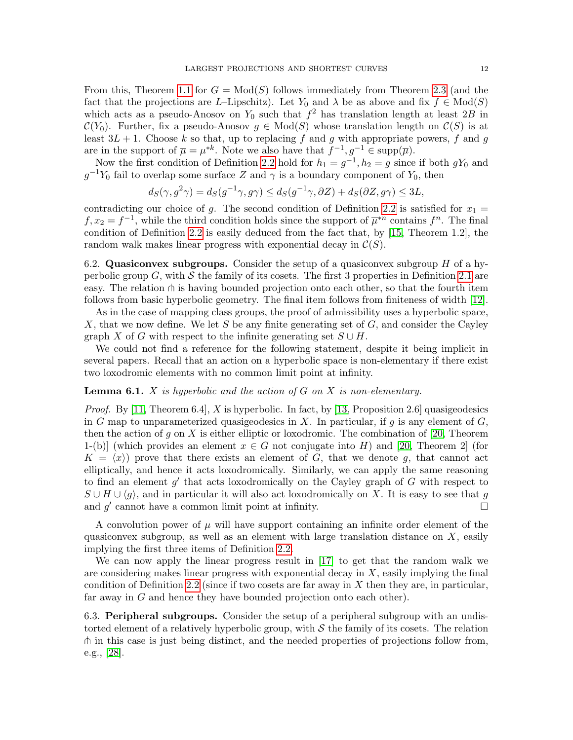From this, Theorem [1.1](#page-0-0) for  $G = Mod(S)$  follows immediately from Theorem [2.3](#page-3-0) (and the fact that the projections are L–Lipschitz). Let  $Y_0$  and  $\lambda$  be as above and fix  $f \in Mod(S)$ which acts as a pseudo-Anosov on  $Y_0$  such that  $f^2$  has translation length at least  $2B$  in  $\mathcal{C}(Y_0)$ . Further, fix a pseudo-Anosov  $g \in Mod(S)$  whose translation length on  $\mathcal{C}(S)$  is at least  $3L + 1$ . Choose k so that, up to replacing f and g with appropriate powers, f and g are in the support of  $\overline{\mu} = \mu^{*k}$ . Note we also have that  $f^{-1}, g^{-1} \in \text{supp}(\overline{\mu})$ .

Now the first condition of Definition [2.2](#page-3-2) hold for  $h_1 = g^{-1}, h_2 = g$  since if both  $gY_0$  and  $g^{-1}Y_0$  fail to overlap some surface Z and  $\gamma$  is a boundary component of  $Y_0$ , then

$$
d_S(\gamma, g^2 \gamma) = d_S(g^{-1} \gamma, g\gamma) \le d_S(g^{-1} \gamma, \partial Z) + d_S(\partial Z, g\gamma) \le 3L,
$$

contradicting our choice of g. The second condition of Definition [2.2](#page-3-2) is satisfied for  $x_1 =$  $f, x_2 = f^{-1}$ , while the third condition holds since the support of  $\overline{\mu}^{*n}$  contains  $f^n$ . The final condition of Definition [2.2](#page-3-2) is easily deduced from the fact that, by [\[15,](#page-18-13) Theorem 1.2], the random walk makes linear progress with exponential decay in  $\mathcal{C}(S)$ .

6.2. Quasiconvex subgroups. Consider the setup of a quasiconvex subgroup  $H$  of a hy-perbolic group G, with S the family of its cosets. The first 3 properties in Definition [2.1](#page-2-3) are easy. The relation  $\phi$  is having bounded projection onto each other, so that the fourth item follows from basic hyperbolic geometry. The final item follows from finiteness of width [\[12\]](#page-18-14).

As in the case of mapping class groups, the proof of admissibility uses a hyperbolic space, X, that we now define. We let S be any finite generating set of  $G$ , and consider the Cayley graph X of G with respect to the infinite generating set  $S \cup H$ .

We could not find a reference for the following statement, despite it being implicit in several papers. Recall that an action on a hyperbolic space is non-elementary if there exist two loxodromic elements with no common limit point at infinity.

## **Lemma 6.1.** X is hyperbolic and the action of G on X is non-elementary.

*Proof.* By [\[11,](#page-18-15) Theorem 6.4], X is hyperbolic. In fact, by [\[13,](#page-18-16) Proposition 2.6] quasigeodesics in G map to unparameterized quasigeodesics in X. In particular, if q is any element of  $G$ , then the action of g on X is either elliptic or loxodromic. The combination of [\[20,](#page-18-17) Theorem 1-(b)] (which provides an element  $x \in G$  not conjugate into H) and [\[20,](#page-18-17) Theorem 2] (for  $K = \langle x \rangle$  prove that there exists an element of G, that we denote g, that cannot act elliptically, and hence it acts loxodromically. Similarly, we can apply the same reasoning to find an element  $g'$  that acts loxodromically on the Cayley graph of  $G$  with respect to  $S \cup H \cup \langle g \rangle$ , and in particular it will also act loxodromically on X. It is easy to see that g and  $g'$  cannot have a common limit point at infinity.

A convolution power of  $\mu$  will have support containing an infinite order element of the quasiconvex subgroup, as well as an element with large translation distance on  $X$ , easily implying the first three items of Definition [2.2.](#page-3-2)

We can now apply the linear progress result in [\[17\]](#page-18-1) to get that the random walk we are considering makes linear progress with exponential decay in  $X$ , easily implying the final condition of Definition [2.2](#page-3-2) (since if two cosets are far away in  $X$  then they are, in particular, far away in G and hence they have bounded projection onto each other).

6.3. Peripheral subgroups. Consider the setup of a peripheral subgroup with an undistorted element of a relatively hyperbolic group, with  $\mathcal S$  the family of its cosets. The relation  $\phi$  in this case is just being distinct, and the needed properties of projections follow from, e.g., [\[28\]](#page-18-18).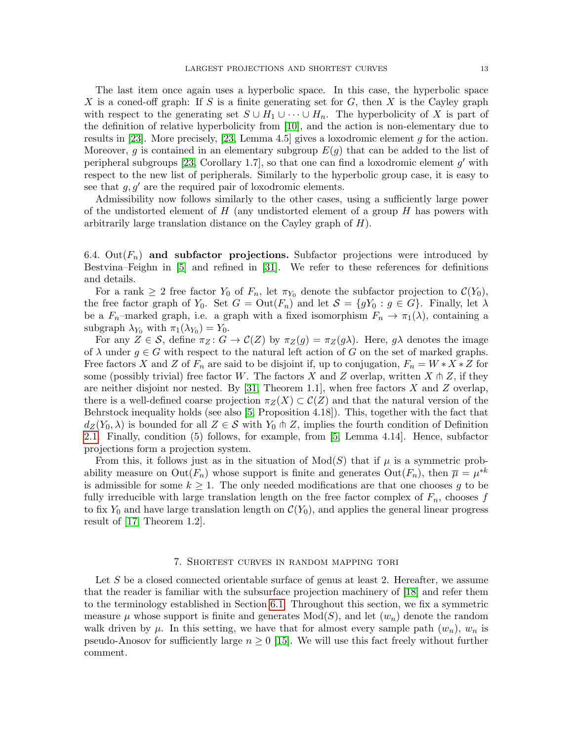The last item once again uses a hyperbolic space. In this case, the hyperbolic space X is a coned-off graph: If S is a finite generating set for  $G$ , then X is the Cayley graph with respect to the generating set  $S \cup H_1 \cup \cdots \cup H_n$ . The hyperbolicity of X is part of the definition of relative hyperbolicity from [\[10\]](#page-18-19), and the action is non-elementary due to results in [\[23\]](#page-18-20). More precisely, [\[23,](#page-18-20) Lemma 4.5] gives a loxodromic element  $g$  for the action. Moreover, g is contained in an elementary subgroup  $E(q)$  that can be added to the list of peripheral subgroups [\[23,](#page-18-20) Corollary 1.7], so that one can find a loxodromic element  $g'$  with respect to the new list of peripherals. Similarly to the hyperbolic group case, it is easy to see that  $q, q'$  are the required pair of loxodromic elements.

Admissibility now follows similarly to the other cases, using a sufficiently large power of the undistorted element of  $H$  (any undistorted element of a group  $H$  has powers with arbitrarily large translation distance on the Cayley graph of H).

6.4. Out( $F_n$ ) and subfactor projections. Subfactor projections were introduced by Bestvina–Feighn in [\[5\]](#page-17-1) and refined in [\[31\]](#page-18-5). We refer to these references for definitions and details.

For a rank  $\geq 2$  free factor  $Y_0$  of  $F_n$ , let  $\pi_{Y_0}$  denote the subfactor projection to  $\mathcal{C}(Y_0)$ , the free factor graph of  $Y_0$ . Set  $G = \text{Out}(F_n)$  and let  $S = \{gY_0 : g \in G\}$ . Finally, let  $\lambda$ be a  $F_n$ -marked graph, i.e. a graph with a fixed isomorphism  $F_n \to \pi_1(\lambda)$ , containing a subgraph  $\lambda_{Y_0}$  with  $\pi_1(\lambda_{Y_0}) = Y_0$ .

For any  $Z \in \mathcal{S}$ , define  $\pi_Z \colon G \to \mathcal{C}(Z)$  by  $\pi_Z(g) = \pi_Z(g\lambda)$ . Here,  $g\lambda$  denotes the image of  $\lambda$  under  $g \in G$  with respect to the natural left action of G on the set of marked graphs. Free factors X and Z of  $F_n$  are said to be disjoint if, up to conjugation,  $F_n = W * X * Z$  for some (possibly trivial) free factor W. The factors X and Z overlap, written X  $\pitchfork$  Z, if they are neither disjoint nor nested. By  $[31,$  Theorem 1.1, when free factors X and Z overlap, there is a well-defined coarse projection  $\pi_Z(X) \subset C(Z)$  and that the natural version of the Behrstock inequality holds (see also [\[5,](#page-17-1) Proposition 4.18]). This, together with the fact that  $d_Z(Y_0, \lambda)$  is bounded for all  $Z \in \mathcal{S}$  with  $Y_0 \pitchfork Z$ , implies the fourth condition of Definition [2.1.](#page-2-3) Finally, condition (5) follows, for example, from [\[5,](#page-17-1) Lemma 4.14]. Hence, subfactor projections form a projection system.

From this, it follows just as in the situation of  $Mod(S)$  that if  $\mu$  is a symmetric probability measure on  $\text{Out}(F_n)$  whose support is finite and generates  $\text{Out}(F_n)$ , then  $\overline{\mu} = \mu^{*k}$ is admissible for some  $k \geq 1$ . The only needed modifications are that one chooses g to be fully irreducible with large translation length on the free factor complex of  $F_n$ , chooses f to fix  $Y_0$  and have large translation length on  $\mathcal{C}(Y_0)$ , and applies the general linear progress result of [\[17,](#page-18-1) Theorem 1.2].

## 7. Shortest curves in random mapping tori

<span id="page-12-0"></span>Let  $S$  be a closed connected orientable surface of genus at least 2. Hereafter, we assume that the reader is familiar with the subsurface projection machinery of [\[18\]](#page-18-3) and refer them to the terminology established in Section [6.1.](#page-10-1) Throughout this section, we fix a symmetric measure  $\mu$  whose support is finite and generates  $Mod(S)$ , and let  $(w_n)$  denote the random walk driven by  $\mu$ . In this setting, we have that for almost every sample path  $(w_n)$ ,  $w_n$  is pseudo-Anosov for sufficiently large  $n \geq 0$  [\[15\]](#page-18-13). We will use this fact freely without further comment.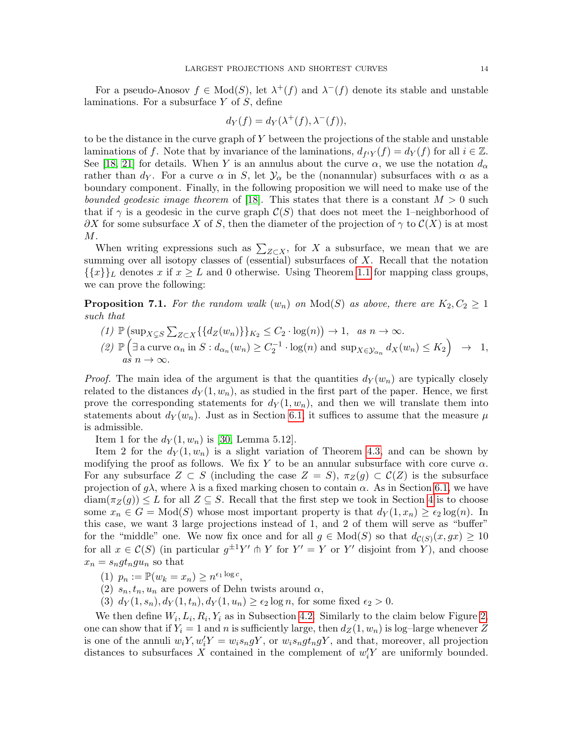For a pseudo-Anosov  $f \in Mod(S)$ , let  $\lambda^+(f)$  and  $\lambda^-(f)$  denote its stable and unstable laminations. For a subsurface  $Y$  of  $S$ , define

$$
d_Y(f) = d_Y(\lambda^+(f), \lambda^-(f)),
$$

to be the distance in the curve graph of Y between the projections of the stable and unstable laminations of f. Note that by invariance of the laminations,  $d_{f^{i}Y}(f) = d_{Y}(f)$  for all  $i \in \mathbb{Z}$ . See [\[18,](#page-18-3) [21\]](#page-18-21) for details. When Y is an annulus about the curve  $\alpha$ , we use the notation  $d_{\alpha}$ rather than  $d_Y$ . For a curve  $\alpha$  in S, let  $\mathcal{Y}_\alpha$  be the (nonannular) subsurfaces with  $\alpha$  as a boundary component. Finally, in the following proposition we will need to make use of the bounded geodesic image theorem of [\[18\]](#page-18-3). This states that there is a constant  $M > 0$  such that if  $\gamma$  is a geodesic in the curve graph  $\mathcal{C}(S)$  that does not meet the 1–neighborhood of  $\partial X$  for some subsurface X of S, then the diameter of the projection of  $\gamma$  to  $\mathcal{C}(X)$  is at most M.

When writing expressions such as  $\sum_{Z\subset X}$ , for X a subsurface, we mean that we are summing over all isotopy classes of (essential) subsurfaces of  $X$ . Recall that the notation  $\{\{x\}\}\$ L denotes x if  $x \geq L$  and 0 otherwise. Using Theorem [1.1](#page-0-0) for mapping class groups, we can prove the following:

<span id="page-13-0"></span>**Proposition 7.1.** For the random walk  $(w_n)$  on  $Mod(S)$  as above, there are  $K_2, C_2 \geq 1$ such that

(1)  $\mathbb{P}(\sup_{X \subsetneq S} \sum_{Z \subset X} \{\{d_Z(w_n)\}\}_{K_2} \leq C_2 \cdot \log(n)) \to 1$ , as  $n \to \infty$ . (2)  $\mathbb{P}\left(\exists \text{ a curve } \alpha_n \text{ in } S: d_{\alpha_n}(w_n) \geq C_2^{-1} \cdot \log(n) \text{ and } \sup_{X \in \mathcal{Y}_{\alpha_n}} d_X(w_n) \leq K_2\right) \rightarrow 1,$  $a\grave{s} n \to \infty.$ 

*Proof.* The main idea of the argument is that the quantities  $d_Y(w_n)$  are typically closely related to the distances  $d_Y(1, w_n)$ , as studied in the first part of the paper. Hence, we first prove the corresponding statements for  $d_Y(1, w_n)$ , and then we will translate them into statements about  $d_Y(w_n)$ . Just as in Section [6.1,](#page-10-1) it suffices to assume that the measure  $\mu$ is admissible.

Item 1 for the  $d_Y(1, w_n)$  is [\[30,](#page-18-11) Lemma 5.12].

Item 2 for the  $d_Y(1, w_n)$  is a slight variation of Theorem [4.3,](#page-8-1) and can be shown by modifying the proof as follows. We fix Y to be an annular subsurface with core curve  $\alpha$ . For any subsurface  $Z \subset S$  (including the case  $Z = S$ ),  $\pi_Z(g) \subset C(Z)$  is the subsurface projection of  $g\lambda$ , where  $\lambda$  is a fixed marking chosen to contain  $\alpha$ . As in Section [6.1,](#page-10-1) we have  $\text{diam}(\pi_Z(g)) \leq L$  for all  $Z \subseteq S$ . Recall that the first step we took in Section [4](#page-5-0) is to choose some  $x_n \in G = \text{Mod}(S)$  whose most important property is that  $d_Y(1, x_n) \geq \epsilon_2 \log(n)$ . In this case, we want 3 large projections instead of 1, and 2 of them will serve as "buffer" for the "middle" one. We now fix once and for all  $g \in Mod(S)$  so that  $d_{\mathcal{C}(S)}(x,gx) \geq 10$ for all  $x \in \mathcal{C}(S)$  (in particular  $g^{\pm 1}Y'$   $\pitchfork$  Y for  $Y' = Y$  or Y' disjoint from Y), and choose  $x_n = s_n g t_n g u_n$  so that

- (1)  $p_n := \mathbb{P}(w_k = x_n) \geq n^{\epsilon_1 \log c},$
- (2)  $s_n, t_n, u_n$  are powers of Dehn twists around  $\alpha$ ,
- (3)  $d_Y(1, s_n), d_Y(1, t_n), d_Y(1, u_n) \geq \epsilon_2 \log n$ , for some fixed  $\epsilon_2 > 0$ .

We then define  $W_i, L_i, R_i, Y_i$  as in Subsection [4.2.](#page-6-2) Similarly to the claim below Figure [2,](#page-7-0) one can show that if  $Y_i = 1$  and n is sufficiently large, then  $d_Z(1, w_n)$  is log–large whenever Z is one of the annuli  $w_i Y$ ,  $w'_i Y = w_i s_n g Y$ , or  $w_i s_n g t_n g Y$ , and that, moreover, all projection distances to subsurfaces X contained in the complement of  $w_i'Y$  are uniformly bounded.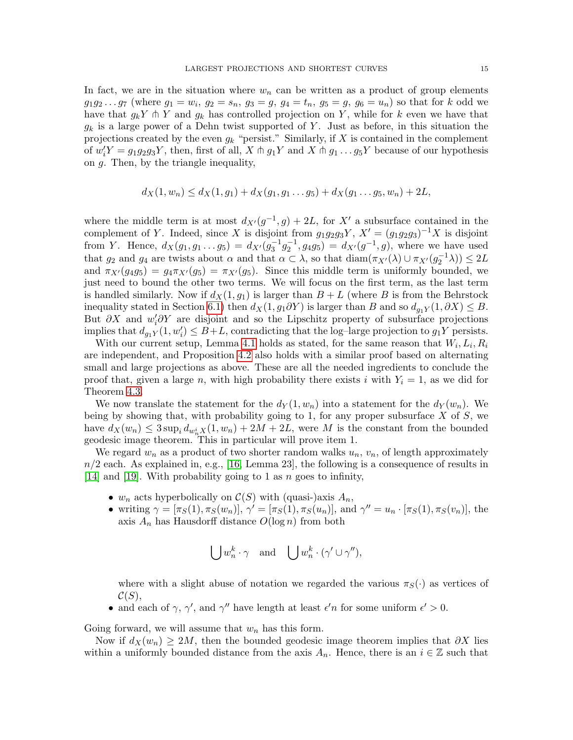In fact, we are in the situation where  $w_n$  can be written as a product of group elements  $g_1g_2...g_7$  (where  $g_1 = w_i$ ,  $g_2 = s_n$ ,  $g_3 = g$ ,  $g_4 = t_n$ ,  $g_5 = g$ ,  $g_6 = u_n$ ) so that for k odd we have that  $g_k Y \oplus Y$  and  $g_k$  has controlled projection on Y, while for k even we have that  $g_k$  is a large power of a Dehn twist supported of Y. Just as before, in this situation the projections created by the even  $g_k$  "persist." Similarly, if X is contained in the complement of  $w'_iY = g_1g_2g_3Y$ , then, first of all,  $X \pitchfork g_1Y$  and  $X \pitchfork g_1 \ldots g_5Y$  because of our hypothesis on g. Then, by the triangle inequality,

$$
d_X(1, w_n) \le d_X(1, g_1) + d_X(g_1, g_1 \dots g_5) + d_X(g_1 \dots g_5, w_n) + 2L,
$$

where the middle term is at most  $d_{X}(g^{-1},g) + 2L$ , for X' a subsurface contained in the complement of Y. Indeed, since X is disjoint from  $g_1g_2g_3Y$ ,  $X' = (g_1g_2g_3)^{-1}X$  is disjoint from Y. Hence,  $d_X(g_1, g_1 \ldots g_5) = d_{X'}(g_3^{-1}g_2^{-1}, g_4g_5) = d_{X'}(g^{-1}, g)$ , where we have used that  $g_2$  and  $g_4$  are twists about  $\alpha$  and that  $\alpha \subset \lambda$ , so that  $\text{diam}(\pi_{X'}(\lambda) \cup \pi_{X'}(g_2^{-1}\lambda)) \leq 2L$ and  $\pi_{X}(g_4g_5) = g_4\pi_{X}(g_5) = \pi_{X}(g_5)$ . Since this middle term is uniformly bounded, we just need to bound the other two terms. We will focus on the first term, as the last term is handled similarly. Now if  $d_X(1, g_1)$  is larger than  $B + L$  (where B is from the Behrstock inequality stated in Section [6.1\)](#page-10-1) then  $d_X(1, g_1\partial Y)$  is larger than B and so  $d_{g_1Y}(1, \partial X) \leq B$ . But  $\partial X$  and  $w_i' \partial Y$  are disjoint and so the Lipschitz property of subsurface projections implies that  $d_{g_1Y}(1, w_i') \leq B + L$ , contradicting that the log-large projection to  $g_1Y$  persists.

With our current setup, Lemma [4.1](#page-6-0) holds as stated, for the same reason that  $W_i, L_i, R_i$ are independent, and Proposition [4.2](#page-6-1) also holds with a similar proof based on alternating small and large projections as above. These are all the needed ingredients to conclude the proof that, given a large n, with high probability there exists i with  $Y_i = 1$ , as we did for Theorem [4.3.](#page-8-1)

We now translate the statement for the  $d_Y(1, w_n)$  into a statement for the  $d_Y(w_n)$ . We being by showing that, with probability going to 1, for any proper subsurface  $X$  of  $S$ , we have  $d_X(w_n) \leq 3 \sup_i d_{w_n^i X}(1, w_n) + 2M + 2L$ , were M is the constant from the bounded geodesic image theorem. This in particular will prove item 1.

We regard  $w_n$  as a product of two shorter random walks  $u_n$ ,  $v_n$ , of length approximately  $n/2$  each. As explained in, e.g., [\[16,](#page-18-22) Lemma 23], the following is a consequence of results in [\[14\]](#page-18-0) and [\[19\]](#page-18-2). With probability going to 1 as  $n$  goes to infinity,

- $w_n$  acts hyperbolically on  $C(S)$  with (quasi-)axis  $A_n$ ,
- writing  $\gamma = [\pi_S(1), \pi_S(w_n)], \gamma' = [\pi_S(1), \pi_S(w_n)],$  and  $\gamma'' = u_n \cdot [\pi_S(1), \pi_S(v_n)],$  the axis  $A_n$  has Hausdorff distance  $O(\log n)$  from both

$$
\bigcup w_n^k \cdot \gamma \quad \text{and} \quad \bigcup w_n^k \cdot (\gamma' \cup \gamma''),
$$

where with a slight abuse of notation we regarded the various  $\pi_S(\cdot)$  as vertices of  $\mathcal{C}(S),$ 

• and each of  $\gamma$ ,  $\gamma'$ , and  $\gamma''$  have length at least  $\epsilon' n$  for some uniform  $\epsilon' > 0$ .

Going forward, we will assume that  $w_n$  has this form.

Now if  $d_X(w_n) \geq 2M$ , then the bounded geodesic image theorem implies that  $\partial X$  lies within a uniformly bounded distance from the axis  $A_n$ . Hence, there is an  $i \in \mathbb{Z}$  such that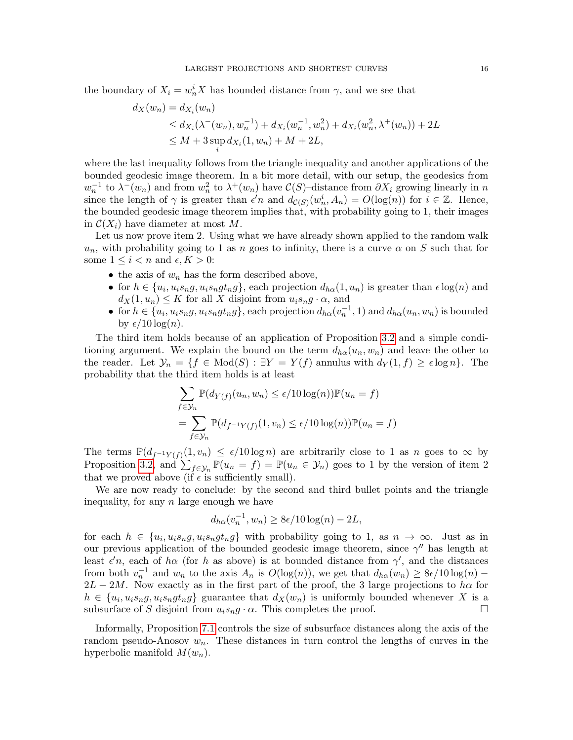the boundary of  $X_i = w_n^i X$  has bounded distance from  $\gamma$ , and we see that

$$
d_X(w_n) = d_{X_i}(w_n)
$$
  
\n
$$
\leq d_{X_i}(\lambda^-(w_n), w_n^{-1}) + d_{X_i}(w_n^{-1}, w_n^2) + d_{X_i}(w_n^2, \lambda^+(w_n)) + 2L
$$
  
\n
$$
\leq M + 3 \sup_i d_{X_i}(1, w_n) + M + 2L,
$$

where the last inequality follows from the triangle inequality and another applications of the bounded geodesic image theorem. In a bit more detail, with our setup, the geodesics from  $w_n^{-1}$  to  $\lambda^-(w_n)$  and from  $w_n^2$  to  $\lambda^+(w_n)$  have  $\mathcal{C}(S)$ -distance from  $\partial X_i$  growing linearly in n since the length of  $\gamma$  is greater than  $\epsilon' n$  and  $d_{\mathcal{C}(S)}(w_n^i, A_n) = O(\log(n))$  for  $i \in \mathbb{Z}$ . Hence, the bounded geodesic image theorem implies that, with probability going to 1, their images in  $\mathcal{C}(X_i)$  have diameter at most M.

Let us now prove item 2. Using what we have already shown applied to the random walk  $u_n$ , with probability going to 1 as n goes to infinity, there is a curve  $\alpha$  on S such that for some  $1 \leq i < n$  and  $\epsilon, K > 0$ :

- the axis of  $w_n$  has the form described above,
- for  $h \in \{u_i, u_i s_n g, u_i s_n g t_n g\}$ , each projection  $d_{h\alpha}(1, u_n)$  is greater than  $\epsilon \log(n)$  and  $d_X(1, u_n) \leq K$  for all X disjoint from  $u_i s_n g \cdot \alpha$ , and
- for  $h \in \{u_i, u_i s_n g, u_i s_n g t_n g\}$ , each projection  $d_{h\alpha}(v_n^{-1}, 1)$  and  $d_{h\alpha}(u_n, w_n)$  is bounded by  $\epsilon/10 \log(n)$ .

The third item holds because of an application of Proposition [3.2](#page-4-2) and a simple conditioning argument. We explain the bound on the term  $d_{h\alpha}(u_n, w_n)$  and leave the other to the reader. Let  $\mathcal{Y}_n = \{f \in Mod(S) : \exists Y = Y(f) \text{ annulus with } d_Y(1, f) \geq \epsilon \log n\}.$  The probability that the third item holds is at least

$$
\sum_{f \in \mathcal{Y}_n} \mathbb{P}(d_{Y(f)}(u_n, w_n) \le \epsilon/10 \log(n)) \mathbb{P}(u_n = f)
$$
  
= 
$$
\sum_{f \in \mathcal{Y}_n} \mathbb{P}(d_{f^{-1}Y(f)}(1, v_n) \le \epsilon/10 \log(n)) \mathbb{P}(u_n = f)
$$

The terms  $\mathbb{P}(d_{f^{-1}Y(f)}(1,v_n) \leq \epsilon/10 \log n)$  are arbitrarily close to 1 as n goes to  $\infty$  by Proposition [3.2,](#page-4-2) and  $\sum_{f \in \mathcal{Y}_n} \mathbb{P}(u_n = f) = \mathbb{P}(u_n \in \mathcal{Y}_n)$  goes to 1 by the version of item 2 that we proved above (if  $\epsilon$  is sufficiently small).

We are now ready to conclude: by the second and third bullet points and the triangle inequality, for any  $n$  large enough we have

$$
d_{h\alpha}(v_n^{-1}, w_n) \ge 8\epsilon/10 \log(n) - 2L,
$$

for each  $h \in \{u_i, u_i s_n g, u_i s_n g t_n g\}$  with probability going to 1, as  $n \to \infty$ . Just as in our previous application of the bounded geodesic image theorem, since  $\gamma''$  has length at least  $\epsilon' n$ , each of  $h\alpha$  (for h as above) is at bounded distance from  $\gamma'$ , and the distances from both  $v_n^{-1}$  and  $w_n$  to the axis  $A_n$  is  $O(\log(n))$ , we get that  $d_{h\alpha}(w_n) \geq 8\epsilon/10 \log(n)$  –  $2L - 2M$ . Now exactly as in the first part of the proof, the 3 large projections to ha for  $h \in \{u_i, u_i s_n g, u_i s_n g t_n g\}$  guarantee that  $d_X(w_n)$  is uniformly bounded whenever X is a subsurface of S disjoint from  $u_i s_n g \cdot \alpha$ . This completes the proof.

Informally, Proposition [7.1](#page-13-0) controls the size of subsurface distances along the axis of the random pseudo-Anosov  $w_n$ . These distances in turn control the lengths of curves in the hyperbolic manifold  $M(w_n)$ .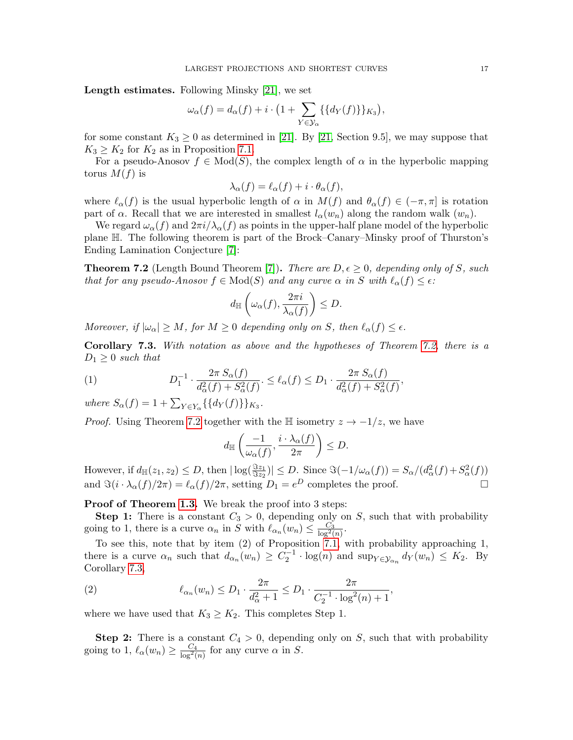Length estimates. Following Minsky [\[21\]](#page-18-21), we set

$$
\omega_{\alpha}(f) = d_{\alpha}(f) + i \cdot (1 + \sum_{Y \in \mathcal{Y}_{\alpha}} \{ \{ d_Y(f) \} \}_{K_3}),
$$

for some constant  $K_3 \geq 0$  as determined in [\[21\]](#page-18-21). By [\[21,](#page-18-21) Section 9.5], we may suppose that  $K_3 \geq K_2$  for  $K_2$  as in Proposition [7.1.](#page-13-0)

For a pseudo-Anosov  $f \in Mod(S)$ , the complex length of  $\alpha$  in the hyperbolic mapping torus  $M(f)$  is

$$
\lambda_{\alpha}(f) = \ell_{\alpha}(f) + i \cdot \theta_{\alpha}(f),
$$

where  $\ell_{\alpha}(f)$  is the usual hyperbolic length of  $\alpha$  in  $M(f)$  and  $\theta_{\alpha}(f) \in (-\pi, \pi]$  is rotation part of  $\alpha$ . Recall that we are interested in smallest  $l_{\alpha}(w_n)$  along the random walk  $(w_n)$ .

We regard  $\omega_{\alpha}(f)$  and  $2\pi i/\lambda_{\alpha}(f)$  as points in the upper-half plane model of the hyperbolic plane H. The following theorem is part of the Brock–Canary–Minsky proof of Thurston's Ending Lamination Conjecture [\[7\]](#page-17-6):

<span id="page-16-0"></span>**Theorem 7.2** (Length Bound Theorem [\[7\]](#page-17-6)). There are  $D, \epsilon \geq 0$ , depending only of S, such that for any pseudo-Anosov  $f \in Mod(S)$  and any curve  $\alpha$  in S with  $\ell_{\alpha}(f) \leq \epsilon$ .

$$
d_{\mathbb{H}}\left(\omega_{\alpha}(f), \frac{2\pi i}{\lambda_{\alpha}(f)}\right) \leq D.
$$

Moreover, if  $|\omega_{\alpha}| \geq M$ , for  $M \geq 0$  depending only on S, then  $\ell_{\alpha}(f) \leq \epsilon$ .

<span id="page-16-1"></span>Corollary 7.3. With notation as above and the hypotheses of Theorem [7.2,](#page-16-0) there is a  $D_1 \geq 0$  such that

(1) 
$$
D_1^{-1} \cdot \frac{2\pi S_{\alpha}(f)}{d_{\alpha}^2(f) + S_{\alpha}^2(f)} \leq \ell_{\alpha}(f) \leq D_1 \cdot \frac{2\pi S_{\alpha}(f)}{d_{\alpha}^2(f) + S_{\alpha}^2(f)},
$$

where  $S_{\alpha}(f) = 1 + \sum_{Y \in Y_{\alpha}} \{\{d_Y(f)\}\}_{K_3}$ .

*Proof.* Using Theorem [7.2](#page-16-0) together with the H isometry  $z \to -1/z$ , we have

$$
d_{\mathbb{H}}\left(\frac{-1}{\omega_{\alpha}(f)}, \frac{i \cdot \lambda_{\alpha}(f)}{2\pi}\right) \leq D.
$$

However, if  $d_{\mathbb{H}}(z_1, z_2) \leq D$ , then  $|\log(\frac{\Im z_1}{\Im z_2})| \leq D$ . Since  $\Im(-1/\omega_\alpha(f)) = S_\alpha/(d_\alpha^2(f) + S_\alpha^2(f))$ and  $\Im(i \cdot \lambda_{\alpha}(f)/2\pi) = \ell_{\alpha}(f)/2\pi$ , setting  $D_1 = e^D$  completes the proof.

Proof of Theorem [1.3.](#page-2-1) We break the proof into 3 steps:

**Step 1:** There is a constant  $C_3 > 0$ , depending only on S, such that with probability going to 1, there is a curve  $\alpha_n$  in S with  $\ell_{\alpha_n}(w_n) \leq \frac{C_3}{\log^2(n)}$ .

To see this, note that by item (2) of Proposition [7.1,](#page-13-0) with probability approaching 1, there is a curve  $\alpha_n$  such that  $d_{\alpha_n}(w_n) \geq C_2^{-1} \cdot \log(n)$  and  $\sup_{Y \in \mathcal{Y}_{\alpha_n}} d_Y(w_n) \leq K_2$ . By Corollary [7.3,](#page-16-1)

(2) 
$$
\ell_{\alpha_n}(w_n) \le D_1 \cdot \frac{2\pi}{d_{\alpha}^2 + 1} \le D_1 \cdot \frac{2\pi}{C_2^{-1} \cdot \log^2(n) + 1},
$$

where we have used that  $K_3 \geq K_2$ . This completes Step 1.

**Step 2:** There is a constant  $C_4 > 0$ , depending only on S, such that with probability going to 1,  $\ell_{\alpha}(w_n) \geq \frac{C_4}{\log^2(n)}$  for any curve  $\alpha$  in S.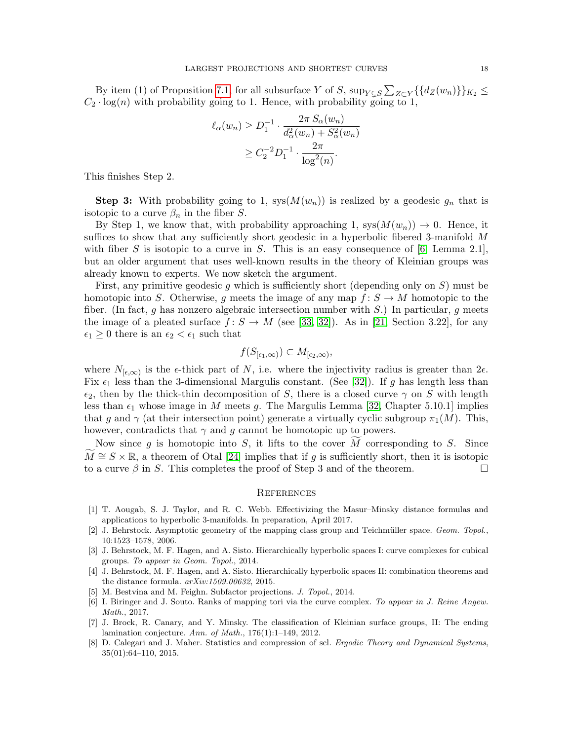By item (1) of Proposition [7.1,](#page-13-0) for all subsurface Y of S,  $\sup_{Y \subsetneq S} \sum_{Z \subset Y} {\{\{d_Z(w_n)\}\}}_{K_2} \leq$  $C_2 \cdot \log(n)$  with probability going to 1. Hence, with probability going to 1,

$$
\ell_{\alpha}(w_n) \ge D_1^{-1} \cdot \frac{2\pi S_{\alpha}(w_n)}{d_{\alpha}^2(w_n) + S_{\alpha}^2(w_n)} \ge C_2^{-2} D_1^{-1} \cdot \frac{2\pi}{\log^2(n)}.
$$

This finishes Step 2.

**Step 3:** With probability going to 1,  $sys(M(w_n))$  is realized by a geodesic  $q_n$  that is isotopic to a curve  $\beta_n$  in the fiber S.

By Step 1, we know that, with probability approaching 1,  $sys(M(w_n)) \rightarrow 0$ . Hence, it suffices to show that any sufficiently short geodesic in a hyperbolic fibered 3-manifold M with fiber S is isotopic to a curve in S. This is an easy consequence of  $[6, \text{ Lemma } 2.1],$  $[6, \text{ Lemma } 2.1],$ but an older argument that uses well-known results in the theory of Kleinian groups was already known to experts. We now sketch the argument.

First, any primitive geodesic  $g$  which is sufficiently short (depending only on  $S$ ) must be homotopic into S. Otherwise, g meets the image of any map  $f: S \to M$  homotopic to the fiber. (In fact, q has nonzero algebraic intersection number with  $S$ .) In particular, q meets the image of a pleated surface  $f: S \to M$  (see [\[33,](#page-18-7) [32\]](#page-18-23)). As in [\[21,](#page-18-21) Section 3.22], for any  $\epsilon_1 \geq 0$  there is an  $\epsilon_2 < \epsilon_1$  such that

$$
f(S_{\lbrack\epsilon_1,\infty)})\subset M_{\lbrack\epsilon_2,\infty)},
$$

where  $N_{\epsilon,\infty}$  is the  $\epsilon$ -thick part of N, i.e. where the injectivity radius is greater than  $2\epsilon$ . Fix  $\epsilon_1$  less than the 3-dimensional Margulis constant. (See [\[32\]](#page-18-23)). If g has length less than  $\epsilon_2$ , then by the thick-thin decomposition of S, there is a closed curve  $\gamma$  on S with length less than  $\epsilon_1$  whose image in M meets g. The Margulis Lemma [\[32,](#page-18-23) Chapter 5.10.1] implies that g and  $\gamma$  (at their intersection point) generate a virtually cyclic subgroup  $\pi_1(M)$ . This, however, contradicts that  $\gamma$  and g cannot be homotopic up to powers.

Now since g is homotopic into S, it lifts to the cover  $\overline{M}$  corresponding to S. Since  $\widetilde{M} \cong S \times \mathbb{R}$ , a theorem of Otal [\[24\]](#page-18-24) implies that if g is sufficiently short, then it is isotopic to a curve  $\beta$  in S. This completes the proof of Step 3 and of the theorem. to a curve  $\beta$  in S. This completes the proof of Step 3 and of the theorem.

#### **REFERENCES**

- <span id="page-17-4"></span>[1] T. Aougab, S. J. Taylor, and R. C. Webb. Effectivizing the Masur–Minsky distance formulas and applications to hyperbolic 3-manifolds. In preparation, April 2017.
- <span id="page-17-5"></span>[2] J. Behrstock. Asymptotic geometry of the mapping class group and Teichmüller space. Geom. Topol., 10:1523–1578, 2006.
- <span id="page-17-2"></span>[3] J. Behrstock, M. F. Hagen, and A. Sisto. Hierarchically hyperbolic spaces I: curve complexes for cubical groups. To appear in Geom. Topol., 2014.
- <span id="page-17-3"></span>[4] J. Behrstock, M. F. Hagen, and A. Sisto. Hierarchically hyperbolic spaces II: combination theorems and the distance formula. arXiv:1509.00632, 2015.
- <span id="page-17-1"></span>[5] M. Bestvina and M. Feighn. Subfactor projections. J. Topol., 2014.
- <span id="page-17-7"></span>[6] I. Biringer and J. Souto. Ranks of mapping tori via the curve complex. To appear in J. Reine Angew. Math., 2017.
- <span id="page-17-6"></span>[7] J. Brock, R. Canary, and Y. Minsky. The classification of Kleinian surface groups, II: The ending lamination conjecture. Ann. of Math., 176(1):1–149, 2012.
- <span id="page-17-0"></span>[8] D. Calegari and J. Maher. Statistics and compression of scl. Ergodic Theory and Dynamical Systems, 35(01):64–110, 2015.